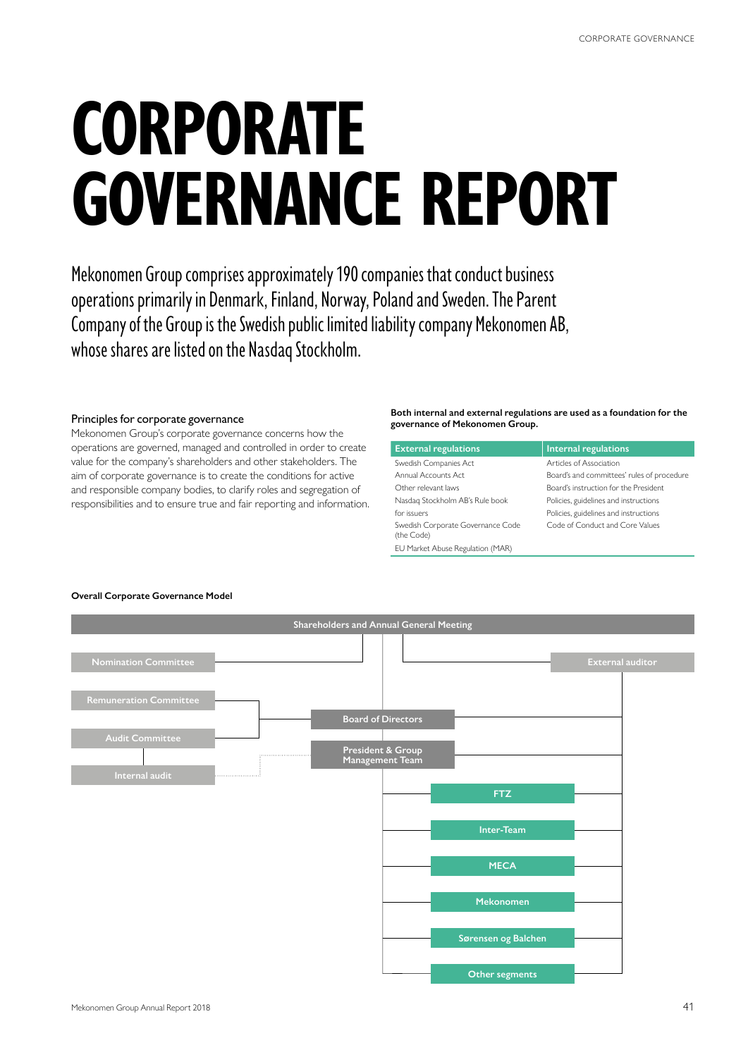# **CORPORATE GOVERNANCE REPORT**

Mekonomen Group comprises approximately 190 companies that conduct business operations primarily in Denmark, Finland, Norway, Poland and Sweden. The Parent Company of the Group is the Swedish public limited liability company Mekonomen AB, whose shares are listed on the Nasdaq Stockholm.

#### Principles for corporate governance

Mekonomen Group's corporate governance concerns how the operations are governed, managed and controlled in order to create value for the company's shareholders and other stakeholders. The aim of corporate governance is to create the conditions for active and responsible company bodies, to clarify roles and segregation of responsibilities and to ensure true and fair reporting and information.

#### **Both internal and external regulations are used as a foundation for the governance of Mekonomen Group.**

| <b>External regulations</b>                     | <b>Internal regulations</b>                |
|-------------------------------------------------|--------------------------------------------|
| Swedish Companies Act                           | Articles of Association                    |
| Annual Accounts Act                             | Board's and committees' rules of procedure |
| Other relevant laws                             | Board's instruction for the President      |
| Nasdag Stockholm AB's Rule book                 | Policies, guidelines and instructions      |
| for issuers.                                    | Policies, guidelines and instructions      |
| Swedish Corporate Governance Code<br>(the Code) | Code of Conduct and Core Values            |
| EU Market Abuse Regulation (MAR)                |                                            |



## **Overall Corporate Governance Model**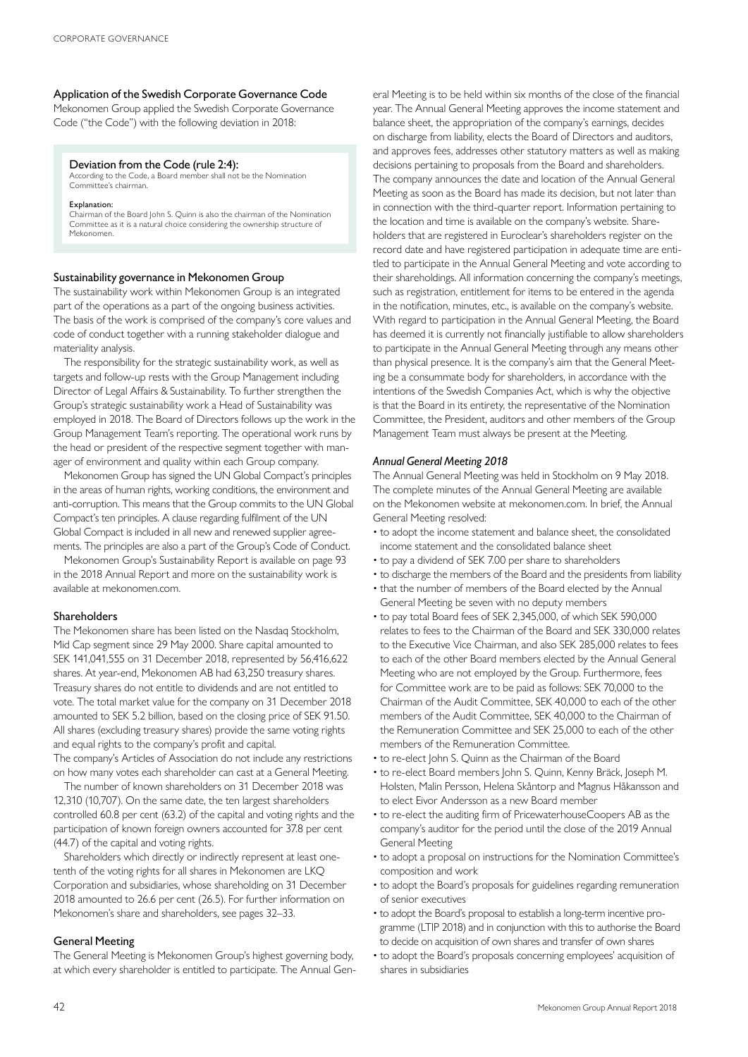#### Application of the Swedish Corporate Governance Code

Mekonomen Group applied the Swedish Corporate Governance Code ("the Code") with the following deviation in 2018:

#### Deviation from the Code (rule 2:4):

According to the Code, a Board member shall not be the Nomination Committee's chairman.

#### Explanation:

Chairman of the Board John S. Quinn is also the chairman of the Nomination Committee as it is a natural choice considering the ownership structure of Mekonomen.

#### Sustainability governance in Mekonomen Group

The sustainability work within Mekonomen Group is an integrated part of the operations as a part of the ongoing business activities. The basis of the work is comprised of the company's core values and code of conduct together with a running stakeholder dialogue and materiality analysis.

The responsibility for the strategic sustainability work, as well as targets and follow-up rests with the Group Management including Director of Legal Affairs & Sustainability. To further strengthen the Group's strategic sustainability work a Head of Sustainability was employed in 2018. The Board of Directors follows up the work in the Group Management Team's reporting. The operational work runs by the head or president of the respective segment together with manager of environment and quality within each Group company.

Mekonomen Group has signed the UN Global Compact's principles in the areas of human rights, working conditions, the environment and anti-corruption. This means that the Group commits to the UN Global Compact's ten principles. A clause regarding fulfilment of the UN Global Compact is included in all new and renewed supplier agreements. The principles are also a part of the Group's Code of Conduct.

Mekonomen Group's Sustainability Report is available on page 93 in the 2018 Annual Report and more on the sustainability work is available at mekonomen.com.

#### Shareholders

The Mekonomen share has been listed on the Nasdaq Stockholm, Mid Cap segment since 29 May 2000. Share capital amounted to SEK 141,041,555 on 31 December 2018, represented by 56,416,622 shares. At year-end, Mekonomen AB had 63,250 treasury shares. Treasury shares do not entitle to dividends and are not entitled to vote. The total market value for the company on 31 December 2018 amounted to SEK 5.2 billion, based on the closing price of SEK 91.50. All shares (excluding treasury shares) provide the same voting rights and equal rights to the company's profit and capital. The company's Articles of Association do not include any restrictions on how many votes each shareholder can cast at a General Meeting.

The number of known shareholders on 31 December 2018 was 12,310 (10,707). On the same date, the ten largest shareholders controlled 60.8 per cent (63.2) of the capital and voting rights and the participation of known foreign owners accounted for 37.8 per cent (44.7) of the capital and voting rights.

Shareholders which directly or indirectly represent at least onetenth of the voting rights for all shares in Mekonomen are LKQ Corporation and subsidiaries, whose shareholding on 31 December 2018 amounted to 26.6 per cent (26.5). For further information on Mekonomen's share and shareholders, see pages 32–33.

### General Meeting

The General Meeting is Mekonomen Group's highest governing body, at which every shareholder is entitled to participate. The Annual Gen-

eral Meeting is to be held within six months of the close of the financial year. The Annual General Meeting approves the income statement and balance sheet, the appropriation of the company's earnings, decides on discharge from liability, elects the Board of Directors and auditors, and approves fees, addresses other statutory matters as well as making decisions pertaining to proposals from the Board and shareholders. The company announces the date and location of the Annual General Meeting as soon as the Board has made its decision, but not later than in connection with the third-quarter report. Information pertaining to the location and time is available on the company's website. Shareholders that are registered in Euroclear's shareholders register on the record date and have registered participation in adequate time are entitled to participate in the Annual General Meeting and vote according to their shareholdings. All information concerning the company's meetings, such as registration, entitlement for items to be entered in the agenda in the notification, minutes, etc., is available on the company's website. With regard to participation in the Annual General Meeting, the Board has deemed it is currently not financially justifiable to allow shareholders to participate in the Annual General Meeting through any means other than physical presence. It is the company's aim that the General Meeting be a consummate body for shareholders, in accordance with the intentions of the Swedish Companies Act, which is why the objective is that the Board in its entirety, the representative of the Nomination Committee, the President, auditors and other members of the Group Management Team must always be present at the Meeting.

#### *Annual General Meeting 2018*

The Annual General Meeting was held in Stockholm on 9 May 2018. The complete minutes of the Annual General Meeting are available on the Mekonomen website at mekonomen.com. In brief, the Annual General Meeting resolved:

- to adopt the income statement and balance sheet, the consolidated income statement and the consolidated balance sheet
- to pay a dividend of SEK 7.00 per share to shareholders
- to discharge the members of the Board and the presidents from liability
- that the number of members of the Board elected by the Annual General Meeting be seven with no deputy members
- to pay total Board fees of SEK 2,345,000, of which SEK 590,000 relates to fees to the Chairman of the Board and SEK 330,000 relates to the Executive Vice Chairman, and also SEK 285,000 relates to fees to each of the other Board members elected by the Annual General Meeting who are not employed by the Group. Furthermore, fees for Committee work are to be paid as follows: SEK 70,000 to the Chairman of the Audit Committee, SEK 40,000 to each of the other members of the Audit Committee, SEK 40,000 to the Chairman of the Remuneration Committee and SEK 25,000 to each of the other members of the Remuneration Committee.
- to re-elect John S. Quinn as the Chairman of the Board
- to re-elect Board members John S. Quinn, Kenny Bräck, Joseph M. Holsten, Malin Persson, Helena Skåntorp and Magnus Håkansson and to elect Eivor Andersson as a new Board member
- to re-elect the auditing firm of PricewaterhouseCoopers AB as the company's auditor for the period until the close of the 2019 Annual General Meeting
- to adopt a proposal on instructions for the Nomination Committee's composition and work
- to adopt the Board's proposals for guidelines regarding remuneration of senior executives
- to adopt the Board's proposal to establish a long-term incentive programme (LTIP 2018) and in conjunction with this to authorise the Board to decide on acquisition of own shares and transfer of own shares
- to adopt the Board's proposals concerning employees' acquisition of shares in subsidiaries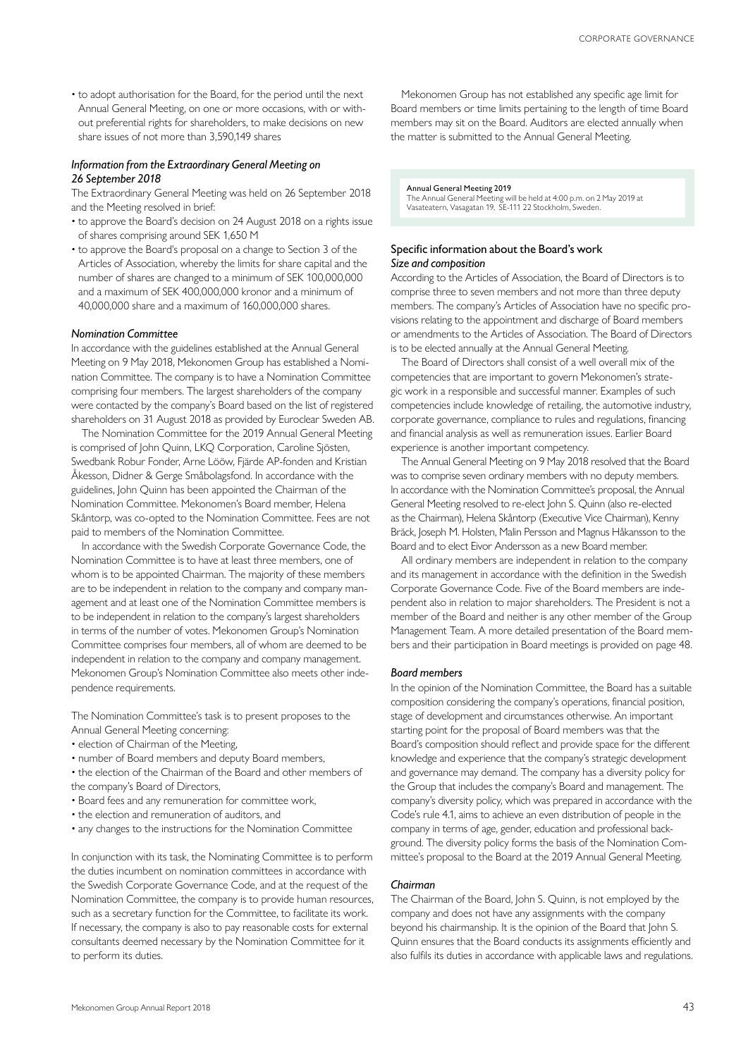• to adopt authorisation for the Board, for the period until the next Annual General Meeting, on one or more occasions, with or without preferential rights for shareholders, to make decisions on new share issues of not more than 3,590,149 shares

#### *Information from the Extraordinary General Meeting on 26 September 2018*

The Extraordinary General Meeting was held on 26 September 2018 and the Meeting resolved in brief:

- to approve the Board's decision on 24 August 2018 on a rights issue of shares comprising around SEK 1,650 M
- to approve the Board's proposal on a change to Section 3 of the Articles of Association, whereby the limits for share capital and the number of shares are changed to a minimum of SEK 100,000,000 and a maximum of SEK 400,000,000 kronor and a minimum of 40,000,000 share and a maximum of 160,000,000 shares.

#### *Nomination Committee*

In accordance with the guidelines established at the Annual General Meeting on 9 May 2018, Mekonomen Group has established a Nomination Committee. The company is to have a Nomination Committee comprising four members. The largest shareholders of the company were contacted by the company's Board based on the list of registered shareholders on 31 August 2018 as provided by Euroclear Sweden AB.

The Nomination Committee for the 2019 Annual General Meeting is comprised of John Quinn, LKQ Corporation, Caroline Sjösten, Swedbank Robur Fonder, Arne Lööw, Fjärde AP-fonden and Kristian Åkesson, Didner & Gerge Småbolagsfond. In accordance with the guidelines, John Quinn has been appointed the Chairman of the Nomination Committee. Mekonomen's Board member, Helena Skåntorp, was co-opted to the Nomination Committee. Fees are not paid to members of the Nomination Committee.

In accordance with the Swedish Corporate Governance Code, the Nomination Committee is to have at least three members, one of whom is to be appointed Chairman. The majority of these members are to be independent in relation to the company and company management and at least one of the Nomination Committee members is to be independent in relation to the company's largest shareholders in terms of the number of votes. Mekonomen Group's Nomination Committee comprises four members, all of whom are deemed to be independent in relation to the company and company management. Mekonomen Group's Nomination Committee also meets other independence requirements.

The Nomination Committee's task is to present proposes to the Annual General Meeting concerning:

- election of Chairman of the Meeting,
- number of Board members and deputy Board members,
- the election of the Chairman of the Board and other members of the company's Board of Directors,
- Board fees and any remuneration for committee work,
- the election and remuneration of auditors, and
- any changes to the instructions for the Nomination Committee

In conjunction with its task, the Nominating Committee is to perform the duties incumbent on nomination committees in accordance with the Swedish Corporate Governance Code, and at the request of the Nomination Committee, the company is to provide human resources, such as a secretary function for the Committee, to facilitate its work. If necessary, the company is also to pay reasonable costs for external consultants deemed necessary by the Nomination Committee for it to perform its duties.

Mekonomen Group has not established any specific age limit for Board members or time limits pertaining to the length of time Board members may sit on the Board. Auditors are elected annually when the matter is submitted to the Annual General Meeting.

#### Annual General Meeting 2019

The Annual General Meeting will be held at 4:00 p.m. on 2 May 2019 at Vasateatern, Vasagatan 19, SE-111 22 Stockholm, Sweden.

#### Specific information about the Board's work *Size and composition*

According to the Articles of Association, the Board of Directors is to comprise three to seven members and not more than three deputy members. The company's Articles of Association have no specific provisions relating to the appointment and discharge of Board members or amendments to the Articles of Association. The Board of Directors is to be elected annually at the Annual General Meeting.

The Board of Directors shall consist of a well overall mix of the competencies that are important to govern Mekonomen's strategic work in a responsible and successful manner. Examples of such competencies include knowledge of retailing, the automotive industry, corporate governance, compliance to rules and regulations, financing and financial analysis as well as remuneration issues. Earlier Board experience is another important competency.

The Annual General Meeting on 9 May 2018 resolved that the Board was to comprise seven ordinary members with no deputy members. In accordance with the Nomination Committee's proposal, the Annual General Meeting resolved to re-elect John S. Quinn (also re-elected as the Chairman), Helena Skåntorp (Executive Vice Chairman), Kenny Bräck, Joseph M. Holsten, Malin Persson and Magnus Håkansson to the Board and to elect Eivor Andersson as a new Board member.

All ordinary members are independent in relation to the company and its management in accordance with the definition in the Swedish Corporate Governance Code. Five of the Board members are independent also in relation to major shareholders. The President is not a member of the Board and neither is any other member of the Group Management Team. A more detailed presentation of the Board members and their participation in Board meetings is provided on page 48.

#### *Board members*

In the opinion of the Nomination Committee, the Board has a suitable composition considering the company's operations, financial position, stage of development and circumstances otherwise. An important starting point for the proposal of Board members was that the Board's composition should reflect and provide space for the different knowledge and experience that the company's strategic development and governance may demand. The company has a diversity policy for the Group that includes the company's Board and management. The company's diversity policy, which was prepared in accordance with the Code's rule 4.1, aims to achieve an even distribution of people in the company in terms of age, gender, education and professional background. The diversity policy forms the basis of the Nomination Committee's proposal to the Board at the 2019 Annual General Meeting.

#### *Chairman*

The Chairman of the Board, John S. Quinn, is not employed by the company and does not have any assignments with the company beyond his chairmanship. It is the opinion of the Board that John S. Quinn ensures that the Board conducts its assignments efficiently and also fulfils its duties in accordance with applicable laws and regulations.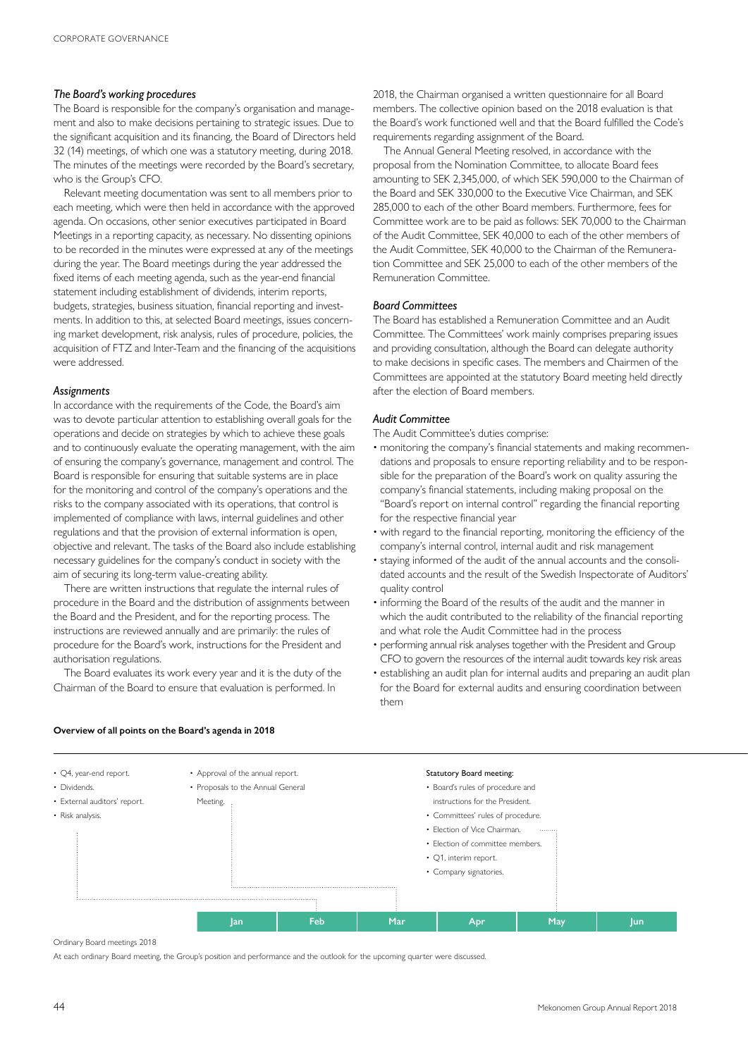#### *The Board's working procedures*

The Board is responsible for the company's organisation and management and also to make decisions pertaining to strategic issues. Due to the significant acquisition and its financing, the Board of Directors held 32 (14) meetings, of which one was a statutory meeting, during 2018. The minutes of the meetings were recorded by the Board's secretary, who is the Group's CFO.

Relevant meeting documentation was sent to all members prior to each meeting, which were then held in accordance with the approved agenda. On occasions, other senior executives participated in Board Meetings in a reporting capacity, as necessary. No dissenting opinions to be recorded in the minutes were expressed at any of the meetings during the year. The Board meetings during the year addressed the fixed items of each meeting agenda, such as the year-end financial statement including establishment of dividends, interim reports, budgets, strategies, business situation, financial reporting and investments. In addition to this, at selected Board meetings, issues concerning market development, risk analysis, rules of procedure, policies, the acquisition of FTZ and Inter-Team and the financing of the acquisitions were addressed.

#### *Assignments*

In accordance with the requirements of the Code, the Board's aim was to devote particular attention to establishing overall goals for the operations and decide on strategies by which to achieve these goals and to continuously evaluate the operating management, with the aim of ensuring the company's governance, management and control. The Board is responsible for ensuring that suitable systems are in place for the monitoring and control of the company's operations and the risks to the company associated with its operations, that control is implemented of compliance with laws, internal guidelines and other regulations and that the provision of external information is open, objective and relevant. The tasks of the Board also include establishing necessary guidelines for the company's conduct in society with the aim of securing its long-term value-creating ability.

There are written instructions that regulate the internal rules of procedure in the Board and the distribution of assignments between the Board and the President, and for the reporting process. The instructions are reviewed annually and are primarily: the rules of procedure for the Board's work, instructions for the President and authorisation regulations.

The Board evaluates its work every year and it is the duty of the Chairman of the Board to ensure that evaluation is performed. In

2018, the Chairman organised a written questionnaire for all Board members. The collective opinion based on the 2018 evaluation is that the Board's work functioned well and that the Board fulfilled the Code's requirements regarding assignment of the Board.

The Annual General Meeting resolved, in accordance with the proposal from the Nomination Committee, to allocate Board fees amounting to SEK 2,345,000, of which SEK 590,000 to the Chairman of the Board and SEK 330,000 to the Executive Vice Chairman, and SEK 285,000 to each of the other Board members. Furthermore, fees for Committee work are to be paid as follows: SEK 70,000 to the Chairman of the Audit Committee, SEK 40,000 to each of the other members of the Audit Committee, SEK 40,000 to the Chairman of the Remuneration Committee and SEK 25,000 to each of the other members of the Remuneration Committee.

#### *Board Committees*

The Board has established a Remuneration Committee and an Audit Committee. The Committees' work mainly comprises preparing issues and providing consultation, although the Board can delegate authority to make decisions in specific cases. The members and Chairmen of the Committees are appointed at the statutory Board meeting held directly after the election of Board members.

#### *Audit Committee*

The Audit Committee's duties comprise:

- monitoring the company's financial statements and making recommendations and proposals to ensure reporting reliability and to be responsible for the preparation of the Board's work on quality assuring the company's financial statements, including making proposal on the "Board's report on internal control" regarding the financial reporting for the respective financial year
- with regard to the financial reporting, monitoring the efficiency of the company's internal control, internal audit and risk management
- staying informed of the audit of the annual accounts and the consolidated accounts and the result of the Swedish Inspectorate of Auditors' quality control
- informing the Board of the results of the audit and the manner in which the audit contributed to the reliability of the financial reporting and what role the Audit Committee had in the process
- performing annual risk analyses together with the President and Group CFO to govern the resources of the internal audit towards key risk areas
- establishing an audit plan for internal audits and preparing an audit plan for the Board for external audits and ensuring coordination between them



#### **Overview of all points on the Board's agenda in 2018**

Ordinary Board meetings 2018

At each ordinary Board meeting, the Group's position and performance and the outlook for the upcoming quarter were discussed.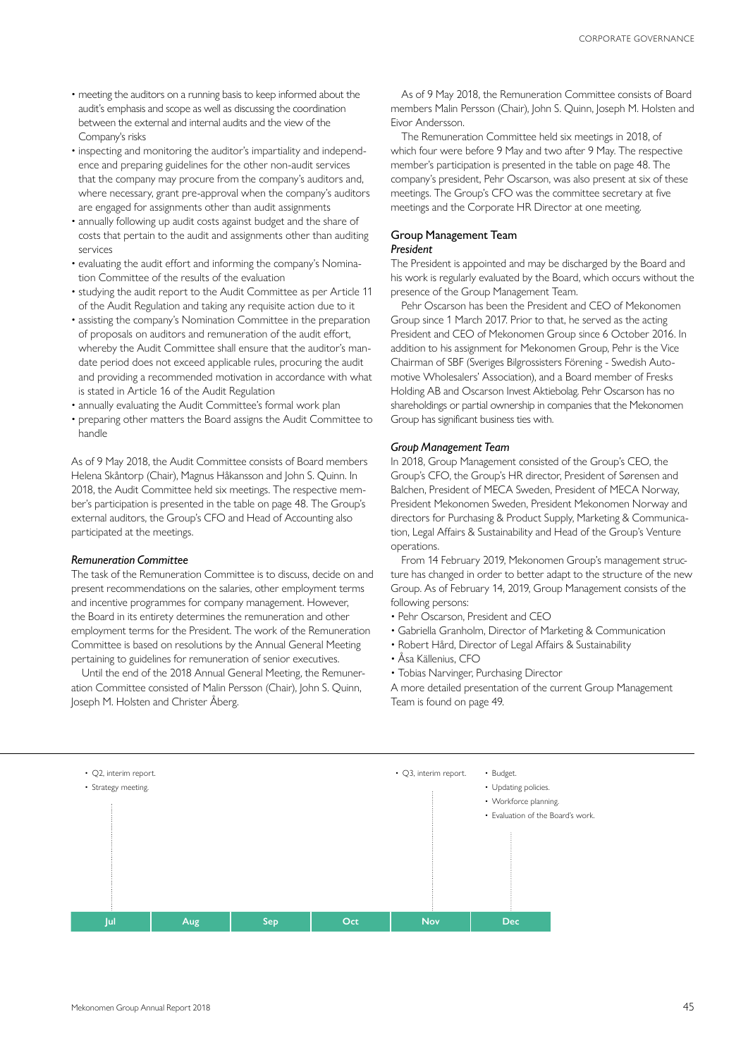- meeting the auditors on a running basis to keep informed about the audit's emphasis and scope as well as discussing the coordination between the external and internal audits and the view of the Company's risks
- inspecting and monitoring the auditor's impartiality and independence and preparing guidelines for the other non-audit services that the company may procure from the company's auditors and, where necessary, grant pre-approval when the company's auditors are engaged for assignments other than audit assignments
- annually following up audit costs against budget and the share of costs that pertain to the audit and assignments other than auditing services
- evaluating the audit effort and informing the company's Nomination Committee of the results of the evaluation
- studying the audit report to the Audit Committee as per Article 11 of the Audit Regulation and taking any requisite action due to it
- assisting the company's Nomination Committee in the preparation of proposals on auditors and remuneration of the audit effort, whereby the Audit Committee shall ensure that the auditor's mandate period does not exceed applicable rules, procuring the audit and providing a recommended motivation in accordance with what is stated in Article 16 of the Audit Regulation
- annually evaluating the Audit Committee's formal work plan
- preparing other matters the Board assigns the Audit Committee to handle

As of 9 May 2018, the Audit Committee consists of Board members Helena Skåntorp (Chair), Magnus Håkansson and John S. Quinn. In 2018, the Audit Committee held six meetings. The respective member's participation is presented in the table on page 48. The Group's external auditors, the Group's CFO and Head of Accounting also participated at the meetings.

#### *Remuneration Committee*

The task of the Remuneration Committee is to discuss, decide on and present recommendations on the salaries, other employment terms and incentive programmes for company management. However, the Board in its entirety determines the remuneration and other employment terms for the President. The work of the Remuneration Committee is based on resolutions by the Annual General Meeting pertaining to guidelines for remuneration of senior executives.

Until the end of the 2018 Annual General Meeting, the Remuneration Committee consisted of Malin Persson (Chair), John S. Quinn, Joseph M. Holsten and Christer Åberg.

As of 9 May 2018, the Remuneration Committee consists of Board members Malin Persson (Chair), John S. Quinn, Joseph M. Holsten and Eivor Andersson.

The Remuneration Committee held six meetings in 2018, of which four were before 9 May and two after 9 May. The respective member's participation is presented in the table on page 48. The company's president, Pehr Oscarson, was also present at six of these meetings. The Group's CFO was the committee secretary at five meetings and the Corporate HR Director at one meeting.

#### Group Management Team *President*

The President is appointed and may be discharged by the Board and his work is regularly evaluated by the Board, which occurs without the presence of the Group Management Team.

Pehr Oscarson has been the President and CEO of Mekonomen Group since 1 March 2017. Prior to that, he served as the acting President and CEO of Mekonomen Group since 6 October 2016. In addition to his assignment for Mekonomen Group, Pehr is the Vice Chairman of SBF (Sveriges Bilgrossisters Förening - Swedish Automotive Wholesalers' Association), and a Board member of Fresks Holding AB and Oscarson Invest Aktiebolag. Pehr Oscarson has no shareholdings or partial ownership in companies that the Mekonomen Group has significant business ties with.

#### *Group Management Team*

In 2018, Group Management consisted of the Group's CEO, the Group's CFO, the Group's HR director, President of Sørensen and Balchen, President of MECA Sweden, President of MECA Norway, President Mekonomen Sweden, President Mekonomen Norway and directors for Purchasing & Product Supply, Marketing & Communication, Legal Affairs & Sustainability and Head of the Group's Venture operations.

From 14 February 2019, Mekonomen Group's management structure has changed in order to better adapt to the structure of the new Group. As of February 14, 2019, Group Management consists of the following persons:

- Pehr Oscarson, President and CEO
- Gabriella Granholm, Director of Marketing & Communication
- Robert Hård, Director of Legal Affairs & Sustainability
- Åsa Källenius, CFO
- Tobias Narvinger, Purchasing Director

A more detailed presentation of the current Group Management Team is found on page 49.

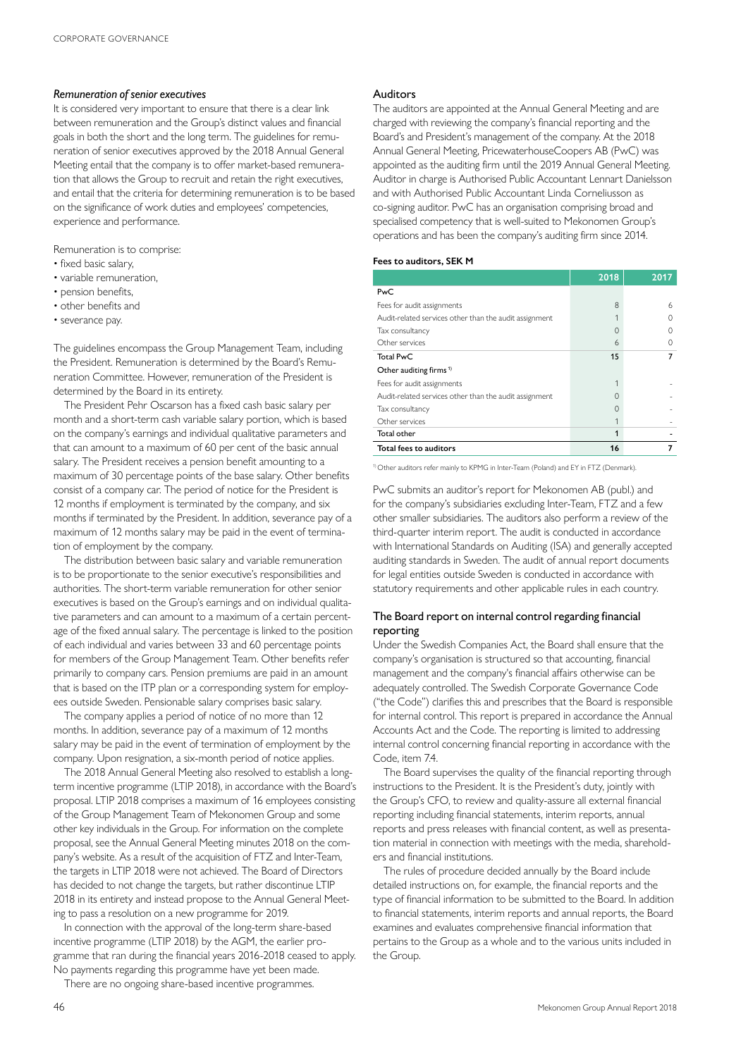#### *Remuneration of senior executives*

It is considered very important to ensure that there is a clear link between remuneration and the Group's distinct values and financial goals in both the short and the long term. The guidelines for remuneration of senior executives approved by the 2018 Annual General Meeting entail that the company is to offer market-based remuneration that allows the Group to recruit and retain the right executives, and entail that the criteria for determining remuneration is to be based on the significance of work duties and employees' competencies, experience and performance.

Remuneration is to comprise:

- fixed basic salary,
- variable remuneration,
- pension benefits,
- other benefits and
- severance pay.

The guidelines encompass the Group Management Team, including the President. Remuneration is determined by the Board's Remuneration Committee. However, remuneration of the President is determined by the Board in its entirety.

The President Pehr Oscarson has a fixed cash basic salary per month and a short-term cash variable salary portion, which is based on the company's earnings and individual qualitative parameters and that can amount to a maximum of 60 per cent of the basic annual salary. The President receives a pension benefit amounting to a maximum of 30 percentage points of the base salary. Other benefits consist of a company car. The period of notice for the President is 12 months if employment is terminated by the company, and six months if terminated by the President. In addition, severance pay of a maximum of 12 months salary may be paid in the event of termination of employment by the company.

The distribution between basic salary and variable remuneration is to be proportionate to the senior executive's responsibilities and authorities. The short-term variable remuneration for other senior executives is based on the Group's earnings and on individual qualitative parameters and can amount to a maximum of a certain percentage of the fixed annual salary. The percentage is linked to the position of each individual and varies between 33 and 60 percentage points for members of the Group Management Team. Other benefits refer primarily to company cars. Pension premiums are paid in an amount that is based on the ITP plan or a corresponding system for employees outside Sweden. Pensionable salary comprises basic salary.

The company applies a period of notice of no more than 12 months. In addition, severance pay of a maximum of 12 months salary may be paid in the event of termination of employment by the company. Upon resignation, a six-month period of notice applies.

The 2018 Annual General Meeting also resolved to establish a longterm incentive programme (LTIP 2018), in accordance with the Board's proposal. LTIP 2018 comprises a maximum of 16 employees consisting of the Group Management Team of Mekonomen Group and some other key individuals in the Group. For information on the complete proposal, see the Annual General Meeting minutes 2018 on the company's website. As a result of the acquisition of FTZ and Inter-Team, the targets in LTIP 2018 were not achieved. The Board of Directors has decided to not change the targets, but rather discontinue LTIP 2018 in its entirety and instead propose to the Annual General Meeting to pass a resolution on a new programme for 2019.

In connection with the approval of the long-term share-based incentive programme (LTIP 2018) by the AGM, the earlier programme that ran during the financial years 2016-2018 ceased to apply. No payments regarding this programme have yet been made.

There are no ongoing share-based incentive programmes.

#### Auditors

The auditors are appointed at the Annual General Meeting and are charged with reviewing the company's financial reporting and the Board's and President's management of the company. At the 2018 Annual General Meeting, PricewaterhouseCoopers AB (PwC) was appointed as the auditing firm until the 2019 Annual General Meeting. Auditor in charge is Authorised Public Accountant Lennart Danielsson and with Authorised Public Accountant Linda Corneliusson as co-signing auditor. PwC has an organisation comprising broad and specialised competency that is well-suited to Mekonomen Group's operations and has been the company's auditing firm since 2014.

#### **Fees to auditors, SEK M**

|                                                        | 2018 | 2017 |
|--------------------------------------------------------|------|------|
| PwC                                                    |      |      |
| Fees for audit assignments                             | 8    | 6    |
| Audit-related services other than the audit assignment |      |      |
| Tax consultancy                                        | 0    |      |
| Other services                                         | 6    |      |
| <b>Total PwC</b>                                       | 15   |      |
| Other auditing firms <sup>1)</sup>                     |      |      |
| Fees for audit assignments                             |      |      |
| Audit-related services other than the audit assignment |      |      |
| Tax consultancy                                        | Ω    |      |
| Other services                                         |      |      |
| Total other                                            | 1    |      |
| Total fees to auditors                                 | 16   |      |

1) Other auditors refer mainly to KPMG in Inter-Team (Poland) and EY in FTZ (Denmark).

PwC submits an auditor's report for Mekonomen AB (publ.) and for the company's subsidiaries excluding Inter-Team, FTZ and a few other smaller subsidiaries. The auditors also perform a review of the third-quarter interim report. The audit is conducted in accordance with International Standards on Auditing (ISA) and generally accepted auditing standards in Sweden. The audit of annual report documents for legal entities outside Sweden is conducted in accordance with statutory requirements and other applicable rules in each country.

### The Board report on internal control regarding financial reporting

Under the Swedish Companies Act, the Board shall ensure that the company's organisation is structured so that accounting, financial management and the company's financial affairs otherwise can be adequately controlled. The Swedish Corporate Governance Code ("the Code") clarifies this and prescribes that the Board is responsible for internal control. This report is prepared in accordance the Annual Accounts Act and the Code. The reporting is limited to addressing internal control concerning financial reporting in accordance with the Code, item 74

The Board supervises the quality of the financial reporting through instructions to the President. It is the President's duty, jointly with the Group's CFO, to review and quality-assure all external financial reporting including financial statements, interim reports, annual reports and press releases with financial content, as well as presentation material in connection with meetings with the media, shareholders and financial institutions.

The rules of procedure decided annually by the Board include detailed instructions on, for example, the financial reports and the type of financial information to be submitted to the Board. In addition to financial statements, interim reports and annual reports, the Board examines and evaluates comprehensive financial information that pertains to the Group as a whole and to the various units included in the Group.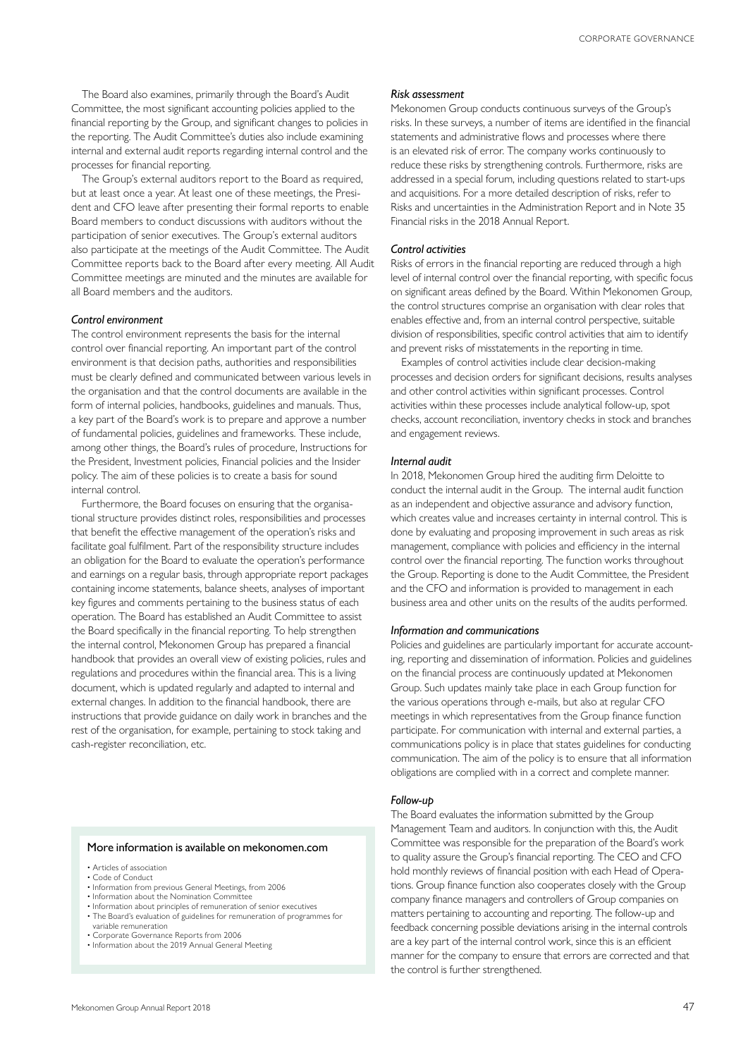The Board also examines, primarily through the Board's Audit Committee, the most significant accounting policies applied to the financial reporting by the Group, and significant changes to policies in the reporting. The Audit Committee's duties also include examining internal and external audit reports regarding internal control and the processes for financial reporting.

The Group's external auditors report to the Board as required, but at least once a year. At least one of these meetings, the President and CFO leave after presenting their formal reports to enable Board members to conduct discussions with auditors without the participation of senior executives. The Group's external auditors also participate at the meetings of the Audit Committee. The Audit Committee reports back to the Board after every meeting. All Audit Committee meetings are minuted and the minutes are available for all Board members and the auditors.

#### *Control environment*

The control environment represents the basis for the internal control over financial reporting. An important part of the control environment is that decision paths, authorities and responsibilities must be clearly defined and communicated between various levels in the organisation and that the control documents are available in the form of internal policies, handbooks, guidelines and manuals. Thus, a key part of the Board's work is to prepare and approve a number of fundamental policies, guidelines and frameworks. These include, among other things, the Board's rules of procedure, Instructions for the President, Investment policies, Financial policies and the Insider policy. The aim of these policies is to create a basis for sound internal control.

Furthermore, the Board focuses on ensuring that the organisational structure provides distinct roles, responsibilities and processes that benefit the effective management of the operation's risks and facilitate goal fulfilment. Part of the responsibility structure includes an obligation for the Board to evaluate the operation's performance and earnings on a regular basis, through appropriate report packages containing income statements, balance sheets, analyses of important key figures and comments pertaining to the business status of each operation. The Board has established an Audit Committee to assist the Board specifically in the financial reporting. To help strengthen the internal control, Mekonomen Group has prepared a financial handbook that provides an overall view of existing policies, rules and regulations and procedures within the financial area. This is a living document, which is updated regularly and adapted to internal and external changes. In addition to the financial handbook, there are instructions that provide guidance on daily work in branches and the rest of the organisation, for example, pertaining to stock taking and cash-register reconciliation, etc.

#### More information is available on mekonomen.com

- Articles of association
- Code of Conduct
- Information from previous General Meetings, from 2006
- Information about the Nomination Committee • Information about principles of remuneration of senior executives
- The Board's evaluation of guidelines for remuneration of programmes for variable remuneration
- Corporate Governance Reports from 2006
- Information about the 2019 Annual General Meeting

#### *Risk assessment*

Mekonomen Group conducts continuous surveys of the Group's risks. In these surveys, a number of items are identified in the financial statements and administrative flows and processes where there is an elevated risk of error. The company works continuously to reduce these risks by strengthening controls. Furthermore, risks are addressed in a special forum, including questions related to start-ups and acquisitions. For a more detailed description of risks, refer to Risks and uncertainties in the Administration Report and in Note 35 Financial risks in the 2018 Annual Report.

#### *Control activities*

Risks of errors in the financial reporting are reduced through a high level of internal control over the financial reporting, with specific focus on significant areas defined by the Board. Within Mekonomen Group, the control structures comprise an organisation with clear roles that enables effective and, from an internal control perspective, suitable division of responsibilities, specific control activities that aim to identify and prevent risks of misstatements in the reporting in time.

Examples of control activities include clear decision-making processes and decision orders for significant decisions, results analyses and other control activities within significant processes. Control activities within these processes include analytical follow-up, spot checks, account reconciliation, inventory checks in stock and branches and engagement reviews.

#### *Internal audit*

In 2018, Mekonomen Group hired the auditing firm Deloitte to conduct the internal audit in the Group. The internal audit function as an independent and objective assurance and advisory function, which creates value and increases certainty in internal control. This is done by evaluating and proposing improvement in such areas as risk management, compliance with policies and efficiency in the internal control over the financial reporting. The function works throughout the Group. Reporting is done to the Audit Committee, the President and the CFO and information is provided to management in each business area and other units on the results of the audits performed.

#### *Information and communications*

Policies and guidelines are particularly important for accurate accounting, reporting and dissemination of information. Policies and guidelines on the financial process are continuously updated at Mekonomen Group. Such updates mainly take place in each Group function for the various operations through e-mails, but also at regular CFO meetings in which representatives from the Group finance function participate. For communication with internal and external parties, a communications policy is in place that states guidelines for conducting communication. The aim of the policy is to ensure that all information obligations are complied with in a correct and complete manner.

#### *Follow-up*

The Board evaluates the information submitted by the Group Management Team and auditors. In conjunction with this, the Audit Committee was responsible for the preparation of the Board's work to quality assure the Group's financial reporting. The CEO and CFO hold monthly reviews of financial position with each Head of Operations. Group finance function also cooperates closely with the Group company finance managers and controllers of Group companies on matters pertaining to accounting and reporting. The follow-up and feedback concerning possible deviations arising in the internal controls are a key part of the internal control work, since this is an efficient manner for the company to ensure that errors are corrected and that the control is further strengthened.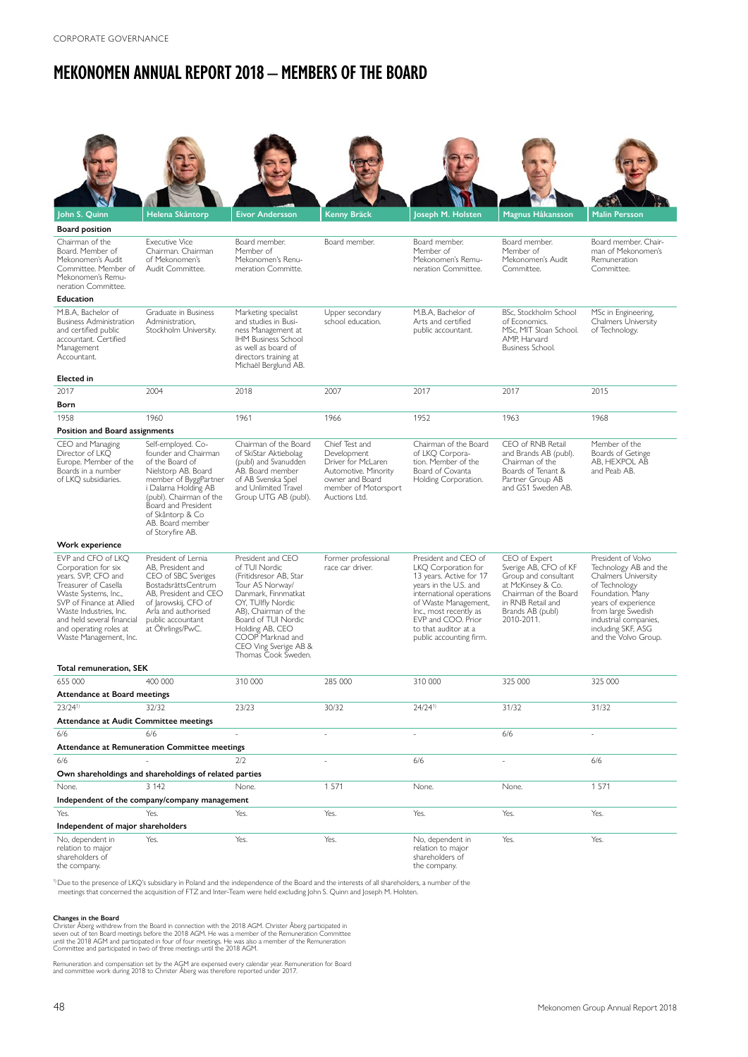# **MEKONOMEN ANNUAL REPORT 2018 – MEMBERS OF THE BOARD**

| John S. Quinn                                                                                                                                                                                                                                            | Helena Skåntorp                                                                                                                                                                                                                                     | <b>Eivor Andersson</b>                                                                                                                                                                                                                                            | Kenny Bräck                                                                                                                             | Joseph M. Holsten                                                                                                                                                                                                                                      | Magnus Håkansson                                                                                                                                                    | <b>Malin Persson</b>                                                                                                                                                                                                               |  |
|----------------------------------------------------------------------------------------------------------------------------------------------------------------------------------------------------------------------------------------------------------|-----------------------------------------------------------------------------------------------------------------------------------------------------------------------------------------------------------------------------------------------------|-------------------------------------------------------------------------------------------------------------------------------------------------------------------------------------------------------------------------------------------------------------------|-----------------------------------------------------------------------------------------------------------------------------------------|--------------------------------------------------------------------------------------------------------------------------------------------------------------------------------------------------------------------------------------------------------|---------------------------------------------------------------------------------------------------------------------------------------------------------------------|------------------------------------------------------------------------------------------------------------------------------------------------------------------------------------------------------------------------------------|--|
| <b>Board position</b>                                                                                                                                                                                                                                    |                                                                                                                                                                                                                                                     |                                                                                                                                                                                                                                                                   |                                                                                                                                         |                                                                                                                                                                                                                                                        |                                                                                                                                                                     |                                                                                                                                                                                                                                    |  |
| Chairman of the<br>Board, Member of<br>Mekonomen's Audit<br>Committee. Member of<br>Mekonomen's Remu-<br>neration Committee.                                                                                                                             | <b>Executive Vice</b><br>Chairman, Chairman<br>of Mekonomen's<br>Audit Committee.                                                                                                                                                                   | Board member.<br>Member of<br>Mekonomen's Renu-<br>meration Committe.                                                                                                                                                                                             | Board member.                                                                                                                           | Board member.<br>Member of<br>Mekonomen's Remu-<br>neration Committee.                                                                                                                                                                                 | Board member.<br>Member of<br>Mekonomen's Audit<br>Committee.                                                                                                       | Board member. Chair-<br>man of Mekonomen's<br>Remuneration<br>Committee.                                                                                                                                                           |  |
| Education                                                                                                                                                                                                                                                |                                                                                                                                                                                                                                                     |                                                                                                                                                                                                                                                                   |                                                                                                                                         |                                                                                                                                                                                                                                                        |                                                                                                                                                                     |                                                                                                                                                                                                                                    |  |
| M.B.A, Bachelor of<br><b>Business Administration</b><br>and certified public<br>accountant. Certified<br>Management<br>Accountant.<br><b>Elected</b> in                                                                                                  | Graduate in Business<br>Administration,<br>Stockholm University.                                                                                                                                                                                    | Marketing specialist<br>and studies in Busi-<br>ness Management at<br><b>IHM Business School</b><br>as well as board of<br>directors training at<br>Michaël Berglund AB.                                                                                          | Upper secondary<br>school education.                                                                                                    | M.B.A, Bachelor of<br>Arts and certified<br>public accountant.                                                                                                                                                                                         | BSc, Stockholm School<br>of Economics.<br>MSc, MIT Sloan School.<br>AMP, Harvard<br>Business School.                                                                | MSc in Engineering,<br><b>Chalmers University</b><br>of Technology.                                                                                                                                                                |  |
| 2017                                                                                                                                                                                                                                                     | 2004                                                                                                                                                                                                                                                | 2018                                                                                                                                                                                                                                                              | 2007                                                                                                                                    | 2017                                                                                                                                                                                                                                                   | 2017                                                                                                                                                                | 2015                                                                                                                                                                                                                               |  |
| Born                                                                                                                                                                                                                                                     |                                                                                                                                                                                                                                                     |                                                                                                                                                                                                                                                                   |                                                                                                                                         |                                                                                                                                                                                                                                                        |                                                                                                                                                                     |                                                                                                                                                                                                                                    |  |
| 1958                                                                                                                                                                                                                                                     | 1960                                                                                                                                                                                                                                                | 1961                                                                                                                                                                                                                                                              | 1966                                                                                                                                    | 1952                                                                                                                                                                                                                                                   | 1963                                                                                                                                                                | 1968                                                                                                                                                                                                                               |  |
| Position and Board assignments                                                                                                                                                                                                                           |                                                                                                                                                                                                                                                     |                                                                                                                                                                                                                                                                   |                                                                                                                                         |                                                                                                                                                                                                                                                        |                                                                                                                                                                     |                                                                                                                                                                                                                                    |  |
| CEO and Managing<br>Director of LKO<br>Europe. Member of the<br>Boards in a number<br>of LKQ subsidiaries.                                                                                                                                               | Self-employed. Co-<br>founder and Chairman<br>of the Board of<br>Nielstorp AB. Board<br>member of ByggPartner<br>i Dalarna Holding AB<br>(publ). Chairman of the<br>Board and President<br>of Skåntorp & Co<br>AB. Board member<br>of Storyfire AB. | Chairman of the Board<br>of SkiStar Aktiebolag<br>(publ) and Svanudden<br>AB. Board member<br>of AB Svenska Spel<br>and Unlimited Travel<br>Group UTG AB (publ).                                                                                                  | Chief Test and<br>Development<br>Driver for McLaren<br>Automotive. Minority<br>owner and Board<br>member of Motorsport<br>Auctions Ltd. | Chairman of the Board<br>of LKQ Corpora-<br>tion. Member of the<br>Board of Covanta<br>Holding Corporation.                                                                                                                                            | CEO of RNB Retail<br>and Brands AB (publ).<br>Chairman of the<br>Boards of Tenant &<br>Partner Group AB<br>and GS1 Sweden AB.                                       | Member of the<br>Boards of Getinge<br>AB, HEXPOL AB<br>and Peab AB.                                                                                                                                                                |  |
| Work experience                                                                                                                                                                                                                                          |                                                                                                                                                                                                                                                     |                                                                                                                                                                                                                                                                   |                                                                                                                                         |                                                                                                                                                                                                                                                        |                                                                                                                                                                     |                                                                                                                                                                                                                                    |  |
| EVP and CFO of LKO<br>Corporation for six<br>years. SVP, CFO and<br>Treasurer of Casella<br>Waste Systems, Inc.,<br>SVP of Finance at Allied<br>Waste Industries, Inc.<br>and held several financial<br>and operating roles at<br>Waste Management, Inc. | President of Lernia<br>AB, President and<br>CEO of SBC Sveriges<br>BostadsrättsCentrum<br>AB, President and CEO<br>of Jarowskij, CFO of<br>Arla and authorised<br>public accountant<br>at Ohrlings/PwC.                                             | President and CEO<br>of TUI Nordic<br>(Fritidsresor AB, Star<br>Tour AS Norway/<br>Danmark, Finnmatkat<br>OY, TUlfly Nordic<br>AB), Chairman of the<br>Board of TUI Nordic<br>Holding AB, CEO<br>COOP Marknad and<br>CEO Ving Sverige AB &<br>Thomas Cook Sweden. | Former professional<br>race car driver.                                                                                                 | President and CEO of<br>LKQ Corporation for<br>13 years. Active for 17<br>years in the U.S. and<br>international operations<br>of Waste Management,<br>Inc., most recently as<br>EVP and COO. Prior<br>to that auditor at a<br>public accounting firm. | CEO of Expert<br>Sverige AB, CFO of KF<br>Group and consultant<br>at McKinsey & Co.<br>Chairman of the Board<br>in RNB Retail and<br>Brands AB (publ)<br>2010-2011. | President of Volvo<br>Technology AB and the<br><b>Chalmers University</b><br>of Technology<br>Foundation. Many<br>years of experience<br>from large Swedish<br>industrial companies,<br>including SKF, ASG<br>and the Volvo Group. |  |
| Total remuneration, SEK                                                                                                                                                                                                                                  |                                                                                                                                                                                                                                                     |                                                                                                                                                                                                                                                                   | 285 000                                                                                                                                 |                                                                                                                                                                                                                                                        |                                                                                                                                                                     |                                                                                                                                                                                                                                    |  |
| 655 000<br>Attendance at Board meetings                                                                                                                                                                                                                  | 400 000                                                                                                                                                                                                                                             | 310 000                                                                                                                                                                                                                                                           |                                                                                                                                         | 310 000                                                                                                                                                                                                                                                | 325 000                                                                                                                                                             | 325 000                                                                                                                                                                                                                            |  |
| $23/24^{1}$                                                                                                                                                                                                                                              | 32/32                                                                                                                                                                                                                                               | 23/23                                                                                                                                                                                                                                                             | 30/32                                                                                                                                   | $24/24^{1}$                                                                                                                                                                                                                                            | 31/32                                                                                                                                                               | 31/32                                                                                                                                                                                                                              |  |
| Attendance at Audit Committee meetings                                                                                                                                                                                                                   |                                                                                                                                                                                                                                                     |                                                                                                                                                                                                                                                                   |                                                                                                                                         |                                                                                                                                                                                                                                                        |                                                                                                                                                                     |                                                                                                                                                                                                                                    |  |
| 6/6                                                                                                                                                                                                                                                      | 6/6                                                                                                                                                                                                                                                 |                                                                                                                                                                                                                                                                   |                                                                                                                                         |                                                                                                                                                                                                                                                        | 6/6                                                                                                                                                                 |                                                                                                                                                                                                                                    |  |
|                                                                                                                                                                                                                                                          | Attendance at Remuneration Committee meetings                                                                                                                                                                                                       |                                                                                                                                                                                                                                                                   |                                                                                                                                         |                                                                                                                                                                                                                                                        |                                                                                                                                                                     |                                                                                                                                                                                                                                    |  |
| 6/6                                                                                                                                                                                                                                                      |                                                                                                                                                                                                                                                     | 2/2                                                                                                                                                                                                                                                               |                                                                                                                                         | 6/6                                                                                                                                                                                                                                                    |                                                                                                                                                                     | 6/6                                                                                                                                                                                                                                |  |
|                                                                                                                                                                                                                                                          | Own shareholdings and shareholdings of related parties                                                                                                                                                                                              |                                                                                                                                                                                                                                                                   |                                                                                                                                         |                                                                                                                                                                                                                                                        |                                                                                                                                                                     |                                                                                                                                                                                                                                    |  |
| 3 1 4 2<br>1 5 7 1<br>1571<br>None.<br>None.<br>None.<br>None.                                                                                                                                                                                           |                                                                                                                                                                                                                                                     |                                                                                                                                                                                                                                                                   |                                                                                                                                         |                                                                                                                                                                                                                                                        |                                                                                                                                                                     |                                                                                                                                                                                                                                    |  |
|                                                                                                                                                                                                                                                          | Independent of the company/company management                                                                                                                                                                                                       |                                                                                                                                                                                                                                                                   |                                                                                                                                         |                                                                                                                                                                                                                                                        |                                                                                                                                                                     |                                                                                                                                                                                                                                    |  |
| Yes.                                                                                                                                                                                                                                                     | Yes.                                                                                                                                                                                                                                                | Yes.                                                                                                                                                                                                                                                              | Yes.                                                                                                                                    | Yes.                                                                                                                                                                                                                                                   | Yes.                                                                                                                                                                | Yes.                                                                                                                                                                                                                               |  |
| Independent of major shareholders<br>No, dependent in<br>relation to major<br>shareholders of<br>the company.                                                                                                                                            | Yes.                                                                                                                                                                                                                                                | Yes.                                                                                                                                                                                                                                                              | Yes.                                                                                                                                    | No, dependent in<br>relation to major<br>shareholders of<br>the company.                                                                                                                                                                               | Yes.                                                                                                                                                                | Yes.                                                                                                                                                                                                                               |  |

<sup>1)</sup>Due to the presence of LKQ's subsidiary in Poland and the independence of the Board and the interests of all shareholders, a number of the<br>meetings that concerned the acquisition of FTZ and Inter-Team were held excludi

**Changes in the Board**<br>Christer Åberg withdrew from the Board in connection with the 2018 AGM. Christer Åberg participated in<br>seven out of ten Board meetings before the 2018 AGM. He was a member of the Remuneration Committ

Remuneration and compensation set by the AGM are expensed every calendar year. Remuneration for Board and committee work during 2018 to Christer Åberg was therefore reported under 2017.